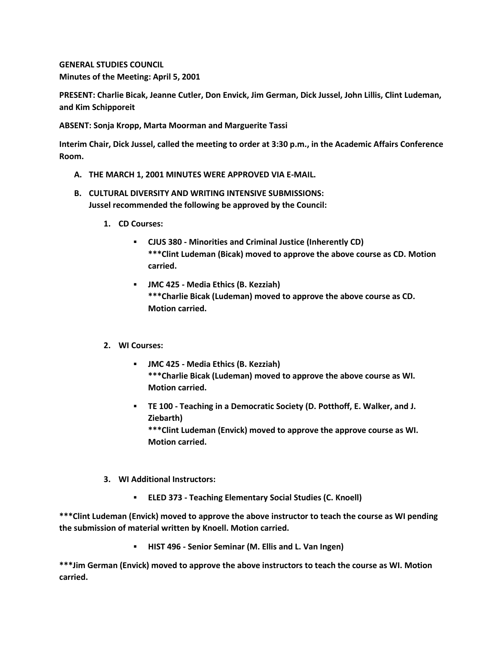**GENERAL STUDIES COUNCIL Minutes of the Meeting: April 5, 2001**

**PRESENT: Charlie Bicak, Jeanne Cutler, Don Envick, Jim German, Dick Jussel, John Lillis, Clint Ludeman, and Kim Schipporeit**

**ABSENT: Sonja Kropp, Marta Moorman and Marguerite Tassi**

**Interim Chair, Dick Jussel, called the meeting to order at 3:30 p.m., in the Academic Affairs Conference Room.**

- **A. THE MARCH 1, 2001 MINUTES WERE APPROVED VIA E-MAIL.**
- **B. CULTURAL DIVERSITY AND WRITING INTENSIVE SUBMISSIONS: Jussel recommended the following be approved by the Council:** 
	- **1. CD Courses:** 
		- **CJUS 380 - Minorities and Criminal Justice (Inherently CD) \*\*\*Clint Ludeman (Bicak) moved to approve the above course as CD. Motion carried.**
		- **JMC 425 - Media Ethics (B. Kezziah) \*\*\*Charlie Bicak (Ludeman) moved to approve the above course as CD. Motion carried.**
	- **2. WI Courses:** 
		- **JMC 425 - Media Ethics (B. Kezziah) \*\*\*Charlie Bicak (Ludeman) moved to approve the above course as WI. Motion carried.**
		- **TE 100 - Teaching in a Democratic Society (D. Potthoff, E. Walker, and J. Ziebarth)**

**\*\*\*Clint Ludeman (Envick) moved to approve the approve course as WI. Motion carried.**

- **3. WI Additional Instructors:** 
	- **ELED 373 - Teaching Elementary Social Studies (C. Knoell)**

**\*\*\*Clint Ludeman (Envick) moved to approve the above instructor to teach the course as WI pending the submission of material written by Knoell. Motion carried.**

**HIST 496 - Senior Seminar (M. Ellis and L. Van Ingen)**

**\*\*\*Jim German (Envick) moved to approve the above instructors to teach the course as WI. Motion carried.**